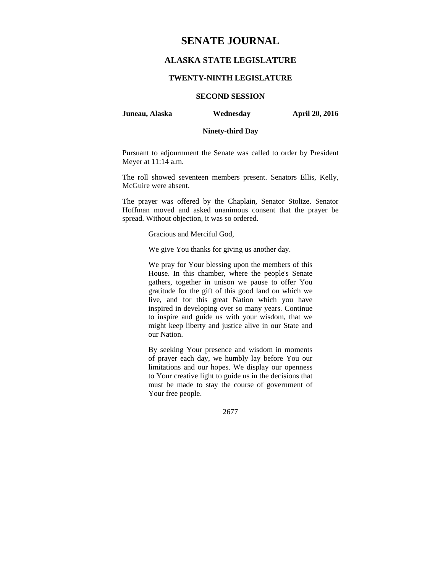# **SENATE JOURNAL**

## **ALASKA STATE LEGISLATURE**

#### **TWENTY-NINTH LEGISLATURE**

# **SECOND SESSION**

#### **Juneau, Alaska Wednesday April 20, 2016**

### **Ninety-third Day**

Pursuant to adjournment the Senate was called to order by President Meyer at 11:14 a.m.

The roll showed seventeen members present. Senators Ellis, Kelly, McGuire were absent.

The prayer was offered by the Chaplain, Senator Stoltze. Senator Hoffman moved and asked unanimous consent that the prayer be spread. Without objection, it was so ordered.

Gracious and Merciful God,

We give You thanks for giving us another day.

We pray for Your blessing upon the members of this House. In this chamber, where the people's Senate gathers, together in unison we pause to offer You gratitude for the gift of this good land on which we live, and for this great Nation which you have inspired in developing over so many years. Continue to inspire and guide us with your wisdom, that we might keep liberty and justice alive in our State and our Nation.

By seeking Your presence and wisdom in moments of prayer each day, we humbly lay before You our limitations and our hopes. We display our openness to Your creative light to guide us in the decisions that must be made to stay the course of government of Your free people.

2677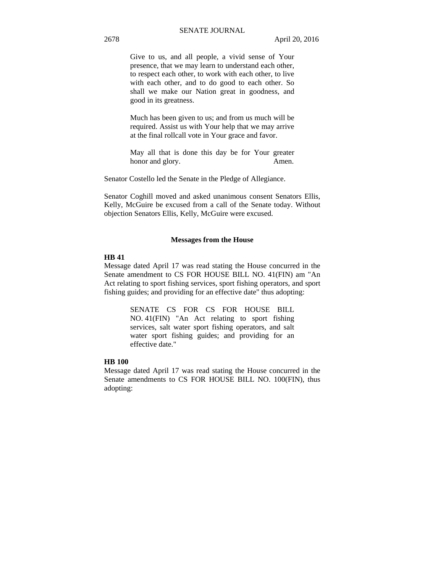Give to us, and all people, a vivid sense of Your presence, that we may learn to understand each other, to respect each other, to work with each other, to live with each other, and to do good to each other. So shall we make our Nation great in goodness, and good in its greatness.

Much has been given to us; and from us much will be required. Assist us with Your help that we may arrive at the final rollcall vote in Your grace and favor.

May all that is done this day be for Your greater honor and glory. Amen.

Senator Costello led the Senate in the Pledge of Allegiance.

Senator Coghill moved and asked unanimous consent Senators Ellis, Kelly, McGuire be excused from a call of the Senate today. Without objection Senators Ellis, Kelly, McGuire were excused.

#### **Messages from the House**

#### **HB 41**

Message dated April 17 was read stating the House concurred in the Senate amendment to CS FOR HOUSE BILL NO. 41(FIN) am "An Act relating to sport fishing services, sport fishing operators, and sport fishing guides; and providing for an effective date" thus adopting:

> SENATE CS FOR CS FOR HOUSE BILL NO. 41(FIN) "An Act relating to sport fishing services, salt water sport fishing operators, and salt water sport fishing guides; and providing for an effective date."

#### **HB 100**

Message dated April 17 was read stating the House concurred in the Senate amendments to CS FOR HOUSE BILL NO. 100(FIN), thus adopting: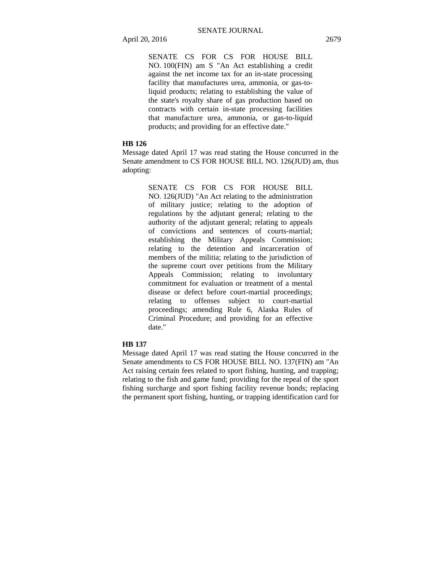SENATE CS FOR CS FOR HOUSE BILL NO. 100(FIN) am S "An Act establishing a credit against the net income tax for an in-state processing facility that manufactures urea, ammonia, or gas-toliquid products; relating to establishing the value of the state's royalty share of gas production based on contracts with certain in-state processing facilities that manufacture urea, ammonia, or gas-to-liquid products; and providing for an effective date."

#### **HB 126**

Message dated April 17 was read stating the House concurred in the Senate amendment to CS FOR HOUSE BILL NO. 126(JUD) am, thus adopting:

> SENATE CS FOR CS FOR HOUSE BILL NO. 126(JUD) "An Act relating to the administration of military justice; relating to the adoption of regulations by the adjutant general; relating to the authority of the adjutant general; relating to appeals of convictions and sentences of courts-martial; establishing the Military Appeals Commission; relating to the detention and incarceration of members of the militia; relating to the jurisdiction of the supreme court over petitions from the Military Appeals Commission; relating to involuntary commitment for evaluation or treatment of a mental disease or defect before court-martial proceedings; relating to offenses subject to court-martial proceedings; amending Rule 6, Alaska Rules of Criminal Procedure; and providing for an effective date."

#### **HB 137**

Message dated April 17 was read stating the House concurred in the Senate amendments to CS FOR HOUSE BILL NO. 137(FIN) am "An Act raising certain fees related to sport fishing, hunting, and trapping; relating to the fish and game fund; providing for the repeal of the sport fishing surcharge and sport fishing facility revenue bonds; replacing the permanent sport fishing, hunting, or trapping identification card for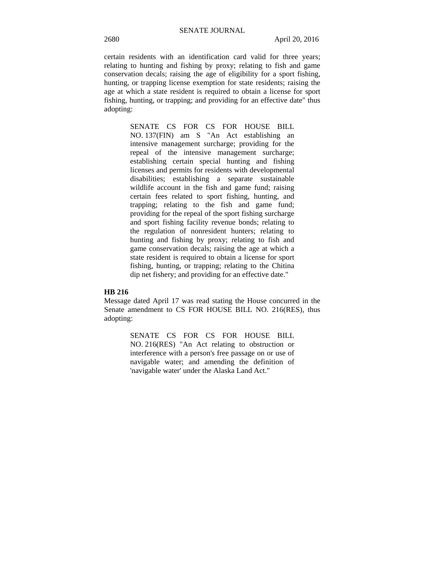certain residents with an identification card valid for three years; relating to hunting and fishing by proxy; relating to fish and game conservation decals; raising the age of eligibility for a sport fishing, hunting, or trapping license exemption for state residents; raising the age at which a state resident is required to obtain a license for sport fishing, hunting, or trapping; and providing for an effective date" thus adopting:

> SENATE CS FOR CS FOR HOUSE BILL NO. 137(FIN) am S "An Act establishing an intensive management surcharge; providing for the repeal of the intensive management surcharge; establishing certain special hunting and fishing licenses and permits for residents with developmental disabilities; establishing a separate sustainable wildlife account in the fish and game fund; raising certain fees related to sport fishing, hunting, and trapping; relating to the fish and game fund; providing for the repeal of the sport fishing surcharge and sport fishing facility revenue bonds; relating to the regulation of nonresident hunters; relating to hunting and fishing by proxy; relating to fish and game conservation decals; raising the age at which a state resident is required to obtain a license for sport fishing, hunting, or trapping; relating to the Chitina dip net fishery; and providing for an effective date."

#### **HB 216**

Message dated April 17 was read stating the House concurred in the Senate amendment to CS FOR HOUSE BILL NO. 216(RES), thus adopting:

> SENATE CS FOR CS FOR HOUSE BILL NO. 216(RES) "An Act relating to obstruction or interference with a person's free passage on or use of navigable water; and amending the definition of 'navigable water' under the Alaska Land Act."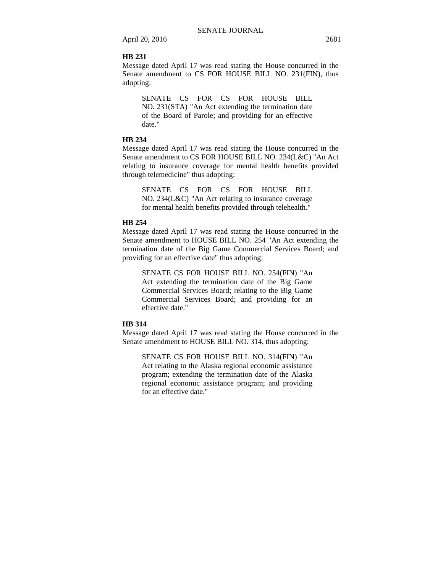#### **HB 231**

Message dated April 17 was read stating the House concurred in the Senate amendment to CS FOR HOUSE BILL NO. 231(FIN), thus adopting:

SENATE CS FOR CS FOR HOUSE BILL NO. 231(STA) "An Act extending the termination date of the Board of Parole; and providing for an effective date."

#### **HB 234**

Message dated April 17 was read stating the House concurred in the Senate amendment to CS FOR HOUSE BILL NO. 234(L&C) "An Act relating to insurance coverage for mental health benefits provided through telemedicine" thus adopting:

SENATE CS FOR CS FOR HOUSE BILL NO. 234(L&C) "An Act relating to insurance coverage for mental health benefits provided through telehealth."

#### **HB 254**

Message dated April 17 was read stating the House concurred in the Senate amendment to HOUSE BILL NO. 254 "An Act extending the termination date of the Big Game Commercial Services Board; and providing for an effective date" thus adopting:

SENATE CS FOR HOUSE BILL NO. 254(FIN) "An Act extending the termination date of the Big Game Commercial Services Board; relating to the Big Game Commercial Services Board; and providing for an effective date."

#### **HB 314**

Message dated April 17 was read stating the House concurred in the Senate amendment to HOUSE BILL NO. 314, thus adopting:

SENATE CS FOR HOUSE BILL NO. 314(FIN) "An Act relating to the Alaska regional economic assistance program; extending the termination date of the Alaska regional economic assistance program; and providing for an effective date."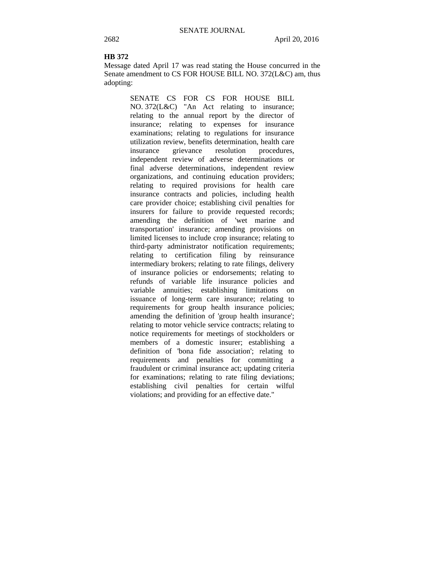#### **HB 372**

Message dated April 17 was read stating the House concurred in the Senate amendment to CS FOR HOUSE BILL NO. 372(L&C) am, thus adopting:

> SENATE CS FOR CS FOR HOUSE BILL NO. 372(L&C) "An Act relating to insurance; relating to the annual report by the director of insurance; relating to expenses for insurance examinations; relating to regulations for insurance utilization review, benefits determination, health care insurance grievance resolution procedures, independent review of adverse determinations or final adverse determinations, independent review organizations, and continuing education providers; relating to required provisions for health care insurance contracts and policies, including health care provider choice; establishing civil penalties for insurers for failure to provide requested records; amending the definition of 'wet marine and transportation' insurance; amending provisions on limited licenses to include crop insurance; relating to third-party administrator notification requirements; relating to certification filing by reinsurance intermediary brokers; relating to rate filings, delivery of insurance policies or endorsements; relating to refunds of variable life insurance policies and variable annuities; establishing limitations on issuance of long-term care insurance; relating to requirements for group health insurance policies; amending the definition of 'group health insurance'; relating to motor vehicle service contracts; relating to notice requirements for meetings of stockholders or members of a domestic insurer; establishing a definition of 'bona fide association'; relating to requirements and penalties for committing a fraudulent or criminal insurance act; updating criteria for examinations; relating to rate filing deviations; establishing civil penalties for certain wilful violations; and providing for an effective date."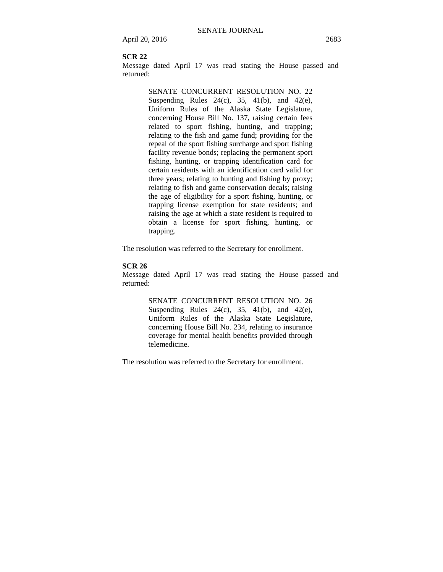#### **SCR 22**

Message dated April 17 was read stating the House passed and returned:

> SENATE CONCURRENT RESOLUTION NO. 22 Suspending Rules  $24(c)$ ,  $35$ ,  $41(b)$ , and  $42(e)$ , Uniform Rules of the Alaska State Legislature, concerning House Bill No. 137, raising certain fees related to sport fishing, hunting, and trapping; relating to the fish and game fund; providing for the repeal of the sport fishing surcharge and sport fishing facility revenue bonds; replacing the permanent sport fishing, hunting, or trapping identification card for certain residents with an identification card valid for three years; relating to hunting and fishing by proxy; relating to fish and game conservation decals; raising the age of eligibility for a sport fishing, hunting, or trapping license exemption for state residents; and raising the age at which a state resident is required to obtain a license for sport fishing, hunting, or trapping.

The resolution was referred to the Secretary for enrollment.

### **SCR 26**

Message dated April 17 was read stating the House passed and returned:

> SENATE CONCURRENT RESOLUTION NO. 26 Suspending Rules 24(c), 35, 41(b), and 42(e), Uniform Rules of the Alaska State Legislature, concerning House Bill No. 234, relating to insurance coverage for mental health benefits provided through telemedicine.

The resolution was referred to the Secretary for enrollment.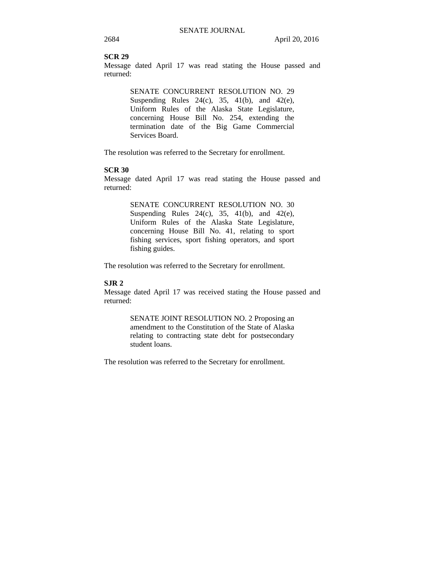#### **SCR 29**

Message dated April 17 was read stating the House passed and returned:

> SENATE CONCURRENT RESOLUTION NO. 29 Suspending Rules 24(c), 35, 41(b), and 42(e), Uniform Rules of the Alaska State Legislature, concerning House Bill No. 254, extending the termination date of the Big Game Commercial Services Board.

The resolution was referred to the Secretary for enrollment.

#### **SCR 30**

Message dated April 17 was read stating the House passed and returned:

> SENATE CONCURRENT RESOLUTION NO. 30 Suspending Rules 24(c), 35, 41(b), and 42(e), Uniform Rules of the Alaska State Legislature, concerning House Bill No. 41, relating to sport fishing services, sport fishing operators, and sport fishing guides.

The resolution was referred to the Secretary for enrollment.

#### **SJR 2**

Message dated April 17 was received stating the House passed and returned:

> SENATE JOINT RESOLUTION NO. 2 Proposing an amendment to the Constitution of the State of Alaska relating to contracting state debt for postsecondary student loans.

The resolution was referred to the Secretary for enrollment.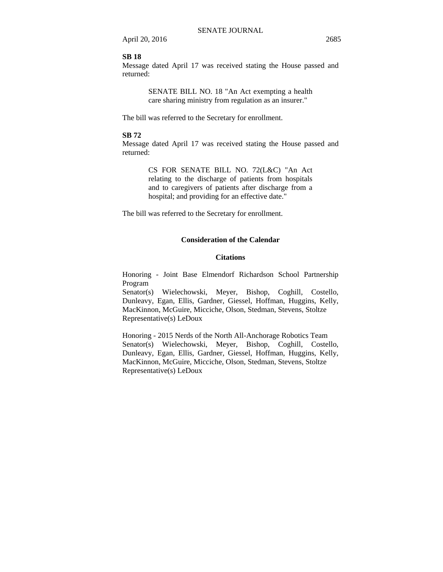#### **SB 18**

Message dated April 17 was received stating the House passed and returned:

> SENATE BILL NO. 18 "An Act exempting a health care sharing ministry from regulation as an insurer."

The bill was referred to the Secretary for enrollment.

### **SB 72**

Message dated April 17 was received stating the House passed and returned:

> CS FOR SENATE BILL NO. 72(L&C) "An Act relating to the discharge of patients from hospitals and to caregivers of patients after discharge from a hospital; and providing for an effective date."

The bill was referred to the Secretary for enrollment.

### **Consideration of the Calendar**

#### **Citations**

Honoring - Joint Base Elmendorf Richardson School Partnership Program

Senator(s) Wielechowski, Meyer, Bishop, Coghill, Costello, Dunleavy, Egan, Ellis, Gardner, Giessel, Hoffman, Huggins, Kelly, MacKinnon, McGuire, Micciche, Olson, Stedman, Stevens, Stoltze Representative(s) LeDoux

Honoring - 2015 Nerds of the North All-Anchorage Robotics Team Senator(s) Wielechowski, Meyer, Bishop, Coghill, Costello, Dunleavy, Egan, Ellis, Gardner, Giessel, Hoffman, Huggins, Kelly, MacKinnon, McGuire, Micciche, Olson, Stedman, Stevens, Stoltze Representative(s) LeDoux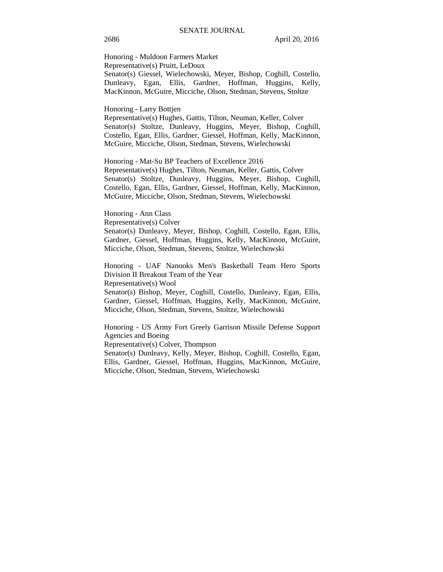2686 April 20, 2016

Honoring - Muldoon Farmers Market Representative(s) Pruitt, LeDoux Senator(s) Giessel, Wielechowski, Meyer, Bishop, Coghill, Costello, Dunleavy, Egan, Ellis, Gardner, Hoffman, Huggins, Kelly, MacKinnon, McGuire, Micciche, Olson, Stedman, Stevens, Stoltze

#### Honoring - Larry Bottjen

Representative(s) Hughes, Gattis, Tilton, Neuman, Keller, Colver Senator(s) Stoltze, Dunleavy, Huggins, Meyer, Bishop, Coghill, Costello, Egan, Ellis, Gardner, Giessel, Hoffman, Kelly, MacKinnon, McGuire, Micciche, Olson, Stedman, Stevens, Wielechowski

Honoring - Mat-Su BP Teachers of Excellence 2016 Representative(s) Hughes, Tilton, Neuman, Keller, Gattis, Colver Senator(s) Stoltze, Dunleavy, Huggins, Meyer, Bishop, Coghill, Costello, Egan, Ellis, Gardner, Giessel, Hoffman, Kelly, MacKinnon, McGuire, Micciche, Olson, Stedman, Stevens, Wielechowski

### Honoring - Ann Class

Representative(s) Colver

Senator(s) Dunleavy, Meyer, Bishop, Coghill, Costello, Egan, Ellis, Gardner, Giessel, Hoffman, Huggins, Kelly, MacKinnon, McGuire, Micciche, Olson, Stedman, Stevens, Stoltze, Wielechowski

Honoring - UAF Nanooks Men's Basketball Team Hero Sports Division II Breakout Team of the Year

Representative(s) Wool

Senator(s) Bishop, Meyer, Coghill, Costello, Dunleavy, Egan, Ellis, Gardner, Giessel, Hoffman, Huggins, Kelly, MacKinnon, McGuire, Micciche, Olson, Stedman, Stevens, Stoltze, Wielechowski

Honoring - US Army Fort Greely Garrison Missile Defense Support Agencies and Boeing

Representative(s) Colver, Thompson

Senator(s) Dunleavy, Kelly, Meyer, Bishop, Coghill, Costello, Egan, Ellis, Gardner, Giessel, Hoffman, Huggins, MacKinnon, McGuire, Micciche, Olson, Stedman, Stevens, Wielechowski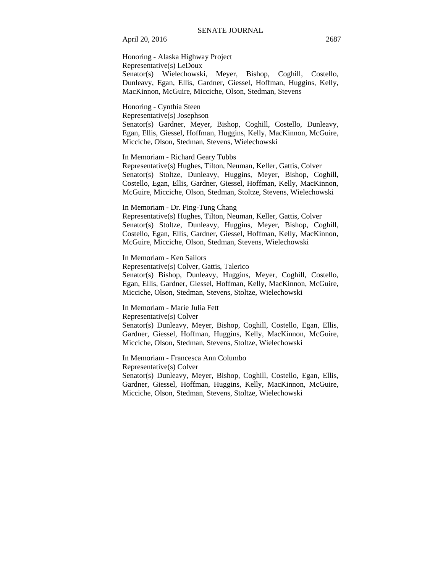Honoring - Alaska Highway Project Representative(s) LeDoux Senator(s) Wielechowski, Meyer, Bishop, Coghill, Costello, Dunleavy, Egan, Ellis, Gardner, Giessel, Hoffman, Huggins, Kelly, MacKinnon, McGuire, Micciche, Olson, Stedman, Stevens

Honoring - Cynthia Steen Representative(s) Josephson

Senator(s) Gardner, Meyer, Bishop, Coghill, Costello, Dunleavy, Egan, Ellis, Giessel, Hoffman, Huggins, Kelly, MacKinnon, McGuire, Micciche, Olson, Stedman, Stevens, Wielechowski

In Memoriam - Richard Geary Tubbs

Representative(s) Hughes, Tilton, Neuman, Keller, Gattis, Colver Senator(s) Stoltze, Dunleavy, Huggins, Meyer, Bishop, Coghill, Costello, Egan, Ellis, Gardner, Giessel, Hoffman, Kelly, MacKinnon, McGuire, Micciche, Olson, Stedman, Stoltze, Stevens, Wielechowski

In Memoriam - Dr. Ping-Tung Chang

Representative(s) Hughes, Tilton, Neuman, Keller, Gattis, Colver Senator(s) Stoltze, Dunleavy, Huggins, Meyer, Bishop, Coghill, Costello, Egan, Ellis, Gardner, Giessel, Hoffman, Kelly, MacKinnon, McGuire, Micciche, Olson, Stedman, Stevens, Wielechowski

In Memoriam - Ken Sailors Representative(s) Colver, Gattis, Talerico Senator(s) Bishop, Dunleavy, Huggins, Meyer, Coghill, Costello, Egan, Ellis, Gardner, Giessel, Hoffman, Kelly, MacKinnon, McGuire, Micciche, Olson, Stedman, Stevens, Stoltze, Wielechowski

In Memoriam - Marie Julia Fett Representative(s) Colver Senator(s) Dunleavy, Meyer, Bishop, Coghill, Costello, Egan, Ellis, Gardner, Giessel, Hoffman, Huggins, Kelly, MacKinnon, McGuire, Micciche, Olson, Stedman, Stevens, Stoltze, Wielechowski

In Memoriam - Francesca Ann Columbo Representative(s) Colver Senator(s) Dunleavy, Meyer, Bishop, Coghill, Costello, Egan, Ellis, Gardner, Giessel, Hoffman, Huggins, Kelly, MacKinnon, McGuire, Micciche, Olson, Stedman, Stevens, Stoltze, Wielechowski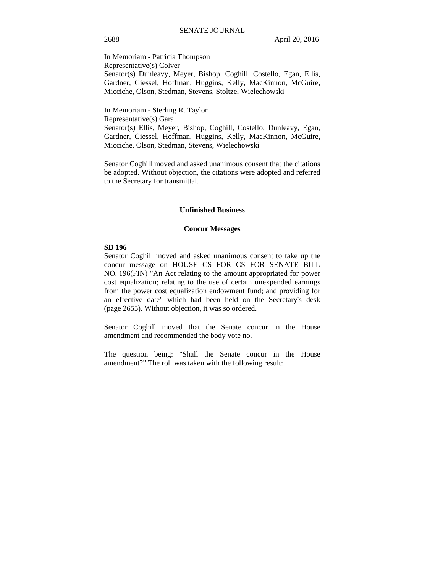In Memoriam - Patricia Thompson Representative(s) Colver Senator(s) Dunleavy, Meyer, Bishop, Coghill, Costello, Egan, Ellis, Gardner, Giessel, Hoffman, Huggins, Kelly, MacKinnon, McGuire, Micciche, Olson, Stedman, Stevens, Stoltze, Wielechowski

In Memoriam - Sterling R. Taylor Representative(s) Gara Senator(s) Ellis, Meyer, Bishop, Coghill, Costello, Dunleavy, Egan, Gardner, Giessel, Hoffman, Huggins, Kelly, MacKinnon, McGuire, Micciche, Olson, Stedman, Stevens, Wielechowski

Senator Coghill moved and asked unanimous consent that the citations be adopted. Without objection, the citations were adopted and referred to the Secretary for transmittal.

#### **Unfinished Business**

#### **Concur Messages**

#### **SB 196**

Senator Coghill moved and asked unanimous consent to take up the concur message on HOUSE CS FOR CS FOR SENATE BILL NO. 196(FIN) "An Act relating to the amount appropriated for power cost equalization; relating to the use of certain unexpended earnings from the power cost equalization endowment fund; and providing for an effective date" which had been held on the Secretary's desk (page 2655). Without objection, it was so ordered.

Senator Coghill moved that the Senate concur in the House amendment and recommended the body vote no.

The question being: "Shall the Senate concur in the House amendment?" The roll was taken with the following result: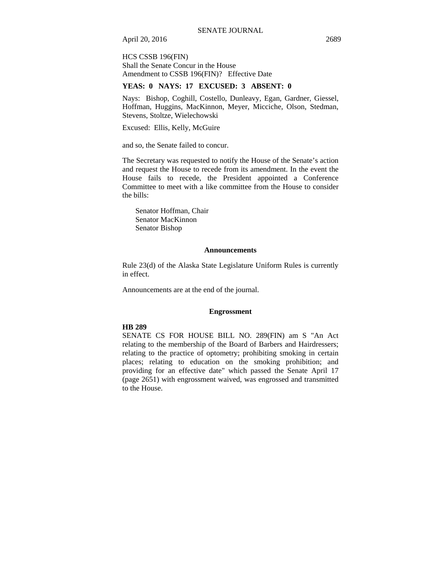HCS CSSB 196(FIN) Shall the Senate Concur in the House Amendment to CSSB 196(FIN)? Effective Date

#### **YEAS: 0 NAYS: 17 EXCUSED: 3 ABSENT: 0**

Nays: Bishop, Coghill, Costello, Dunleavy, Egan, Gardner, Giessel, Hoffman, Huggins, MacKinnon, Meyer, Micciche, Olson, Stedman, Stevens, Stoltze, Wielechowski

Excused: Ellis, Kelly, McGuire

and so, the Senate failed to concur.

The Secretary was requested to notify the House of the Senate's action and request the House to recede from its amendment. In the event the House fails to recede, the President appointed a Conference Committee to meet with a like committee from the House to consider the bills:

Senator Hoffman, Chair Senator MacKinnon Senator Bishop

#### **Announcements**

Rule 23(d) of the Alaska State Legislature Uniform Rules is currently in effect.

Announcements are at the end of the journal.

#### **Engrossment**

#### **HB 289**

SENATE CS FOR HOUSE BILL NO. 289(FIN) am S "An Act relating to the membership of the Board of Barbers and Hairdressers; relating to the practice of optometry; prohibiting smoking in certain places; relating to education on the smoking prohibition; and providing for an effective date" which passed the Senate April 17 (page 2651) with engrossment waived, was engrossed and transmitted to the House.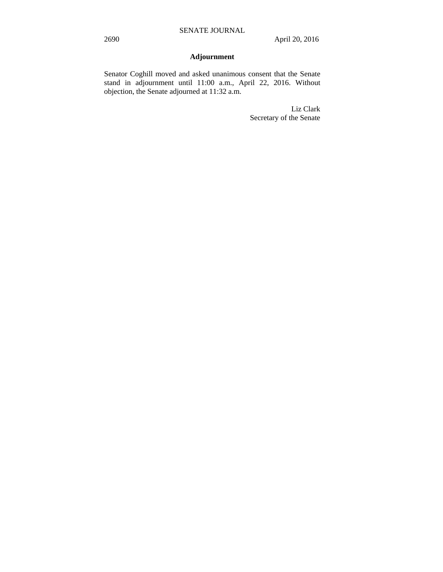# **Adjournment**

Senator Coghill moved and asked unanimous consent that the Senate stand in adjournment until 11:00 a.m., April 22, 2016. Without objection, the Senate adjourned at 11:32 a.m.

> Liz Clark Secretary of the Senate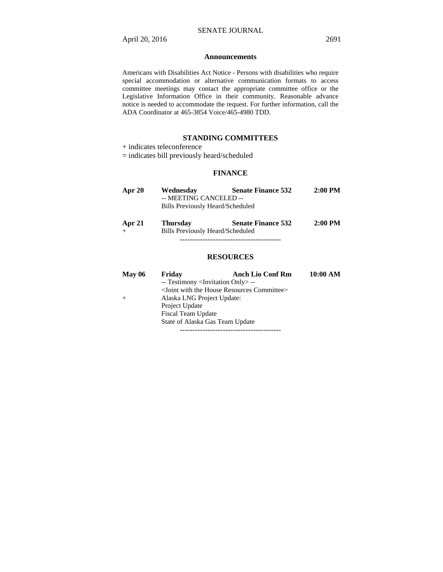#### **Announcements**

Americans with Disabilities Act Notice - Persons with disabilities who require special accommodation or alternative communication formats to access committee meetings may contact the appropriate committee office or the Legislative Information Office in their community. Reasonable advance notice is needed to accommodate the request. For further information, call the ADA Coordinator at 465-3854 Voice/465-4980 TDD.

#### **STANDING COMMITTEES**

+ indicates teleconference

= indicates bill previously heard/scheduled

#### **FINANCE**

| Apr 20           | <b>Senate Finance 532</b><br>Wednesday<br>-- MEETING CANCELED --<br>Bills Previously Heard/Scheduled |                           | $2:00$ PM |
|------------------|------------------------------------------------------------------------------------------------------|---------------------------|-----------|
| Apr 21<br>$^{+}$ | <b>Thursday</b><br>Bills Previously Heard/Scheduled                                                  | <b>Senate Finance 532</b> | $2:00$ PM |

----------------------------------------

#### **RESOURCES**

| May 06 | Friday                          | <b>Anch Lio Conf Rm</b>                                           | 10:00 AM |  |  |  |
|--------|---------------------------------|-------------------------------------------------------------------|----------|--|--|--|
|        |                                 | -- Testimony <invitation only=""> --</invitation>                 |          |  |  |  |
|        |                                 | <joint committee="" house="" resources="" the="" with=""></joint> |          |  |  |  |
|        | Alaska LNG Project Update:      |                                                                   |          |  |  |  |
|        | Project Update                  |                                                                   |          |  |  |  |
|        | Fiscal Team Update              |                                                                   |          |  |  |  |
|        | State of Alaska Gas Team Update |                                                                   |          |  |  |  |
|        |                                 |                                                                   |          |  |  |  |